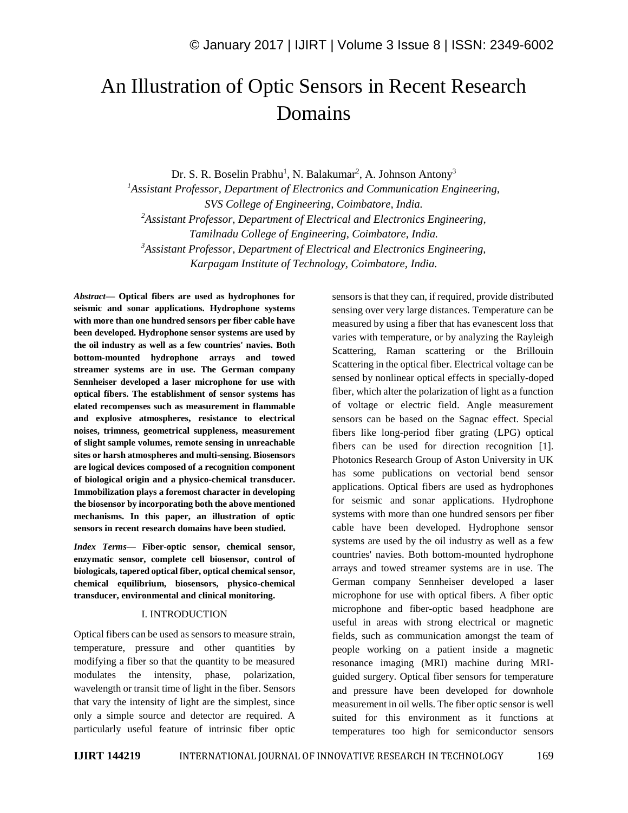# An Illustration of Optic Sensors in Recent Research Domains

Dr. S. R. Boselin Prabhu<sup>1</sup>, N. Balakumar<sup>2</sup>, A. Johnson Antony<sup>3</sup>

*<sup>1</sup>Assistant Professor, Department of Electronics and Communication Engineering, SVS College of Engineering, Coimbatore, India. <sup>2</sup>Assistant Professor, Department of Electrical and Electronics Engineering, Tamilnadu College of Engineering, Coimbatore, India. <sup>3</sup>Assistant Professor, Department of Electrical and Electronics Engineering, Karpagam Institute of Technology, Coimbatore, India.*

*Abstract—* **Optical fibers are used as hydrophones for seismic and sonar applications. Hydrophone systems with more than one hundred sensors per fiber cable have been developed. Hydrophone sensor systems are used by the oil industry as well as a few countries' navies. Both bottom-mounted hydrophone arrays and towed streamer systems are in use. The German company Sennheiser developed a laser microphone for use with optical fibers. The establishment of sensor systems has elated recompenses such as measurement in flammable and explosive atmospheres, resistance to electrical noises, trimness, geometrical suppleness, measurement of slight sample volumes, remote sensing in unreachable sites or harsh atmospheres and multi-sensing. Biosensors are logical devices composed of a recognition component of biological origin and a physico-chemical transducer. Immobilization plays a foremost character in developing the biosensor by incorporating both the above mentioned mechanisms. In this paper, an illustration of optic sensors in recent research domains have been studied.**

*Index Terms—* **Fiber-optic sensor, chemical sensor, enzymatic sensor, complete cell biosensor, control of biologicals, tapered optical fiber, optical chemical sensor, chemical equilibrium, biosensors, physico-chemical transducer, environmental and clinical monitoring.**

#### I. INTRODUCTION

Optical fibers can be used as sensors to measure strain, temperature, pressure and other quantities by modifying a fiber so that the quantity to be measured modulates the intensity, phase, polarization, wavelength or transit time of light in the fiber. Sensors that vary the intensity of light are the simplest, since only a simple source and detector are required. A particularly useful feature of intrinsic fiber optic sensors is that they can, if required, provide distributed sensing over very large distances. Temperature can be measured by using a fiber that has evanescent loss that varies with temperature, or by analyzing the Rayleigh Scattering, Raman scattering or the Brillouin Scattering in the optical fiber. Electrical voltage can be sensed by nonlinear optical effects in specially-doped fiber, which alter the polarization of light as a function of voltage or electric field. Angle measurement sensors can be based on the Sagnac effect. Special fibers like long-period fiber grating (LPG) optical fibers can be used for direction recognition [1]. Photonics Research Group of Aston University in UK has some publications on vectorial bend sensor applications. Optical fibers are used as hydrophones for seismic and sonar applications. Hydrophone systems with more than one hundred sensors per fiber cable have been developed. Hydrophone sensor systems are used by the oil industry as well as a few countries' navies. Both bottom-mounted hydrophone arrays and towed streamer systems are in use. The German company Sennheiser developed a laser microphone for use with optical fibers. A fiber optic microphone and fiber-optic based headphone are useful in areas with strong electrical or magnetic fields, such as communication amongst the team of people working on a patient inside a magnetic resonance imaging (MRI) machine during MRIguided surgery. Optical fiber sensors for temperature and pressure have been developed for downhole measurement in oil wells. The fiber optic sensor is well suited for this environment as it functions at temperatures too high for semiconductor sensors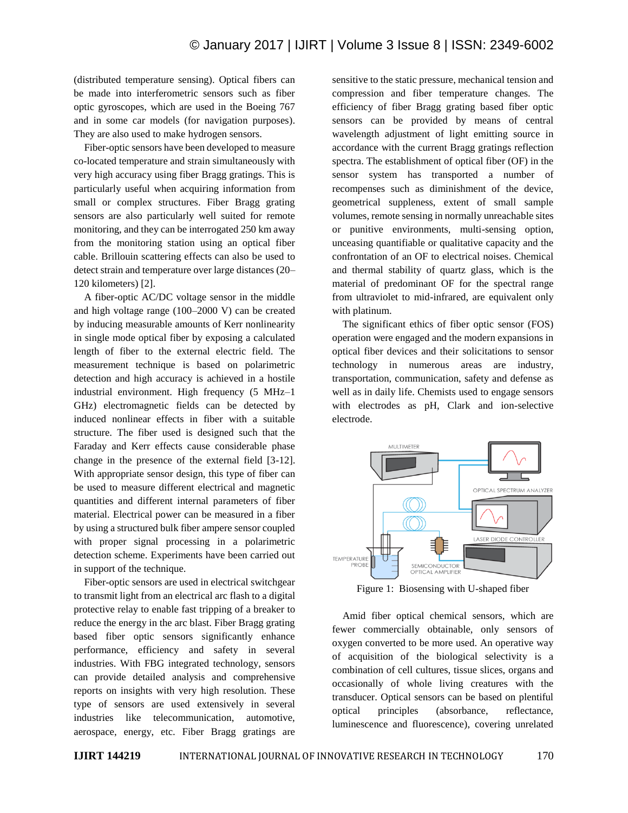(distributed temperature sensing). Optical fibers can be made into interferometric sensors such as fiber optic gyroscopes, which are used in the Boeing 767 and in some car models (for navigation purposes). They are also used to make hydrogen sensors.

Fiber-optic sensors have been developed to measure co-located temperature and strain simultaneously with very high accuracy using fiber Bragg gratings. This is particularly useful when acquiring information from small or complex structures. Fiber Bragg grating sensors are also particularly well suited for remote monitoring, and they can be interrogated 250 km away from the monitoring station using an optical fiber cable. Brillouin scattering effects can also be used to detect strain and temperature over large distances (20– 120 kilometers) [2].

A fiber-optic AC/DC voltage sensor in the middle and high voltage range (100–2000 V) can be created by inducing measurable amounts of Kerr nonlinearity in single mode optical fiber by exposing a calculated length of fiber to the external electric field. The measurement technique is based on polarimetric detection and high accuracy is achieved in a hostile industrial environment. High frequency (5 MHz–1 GHz) electromagnetic fields can be detected by induced nonlinear effects in fiber with a suitable structure. The fiber used is designed such that the Faraday and Kerr effects cause considerable phase change in the presence of the external field [3-12]. With appropriate sensor design, this type of fiber can be used to measure different electrical and magnetic quantities and different internal parameters of fiber material. Electrical power can be measured in a fiber by using a structured bulk fiber ampere sensor coupled with proper signal processing in a polarimetric detection scheme. Experiments have been carried out in support of the technique.

Fiber-optic sensors are used in electrical switchgear to transmit light from an electrical arc flash to a digital protective relay to enable fast tripping of a breaker to reduce the energy in the arc blast. Fiber Bragg grating based fiber optic sensors significantly enhance performance, efficiency and safety in several industries. With FBG integrated technology, sensors can provide detailed analysis and comprehensive reports on insights with very high resolution. These type of sensors are used extensively in several industries like telecommunication, automotive, aerospace, energy, etc. Fiber Bragg gratings are

sensitive to the static pressure, mechanical tension and compression and fiber temperature changes. The efficiency of fiber Bragg grating based fiber optic sensors can be provided by means of central wavelength adjustment of light emitting source in accordance with the current Bragg gratings reflection spectra. The establishment of optical fiber (OF) in the sensor system has transported a number of recompenses such as diminishment of the device, geometrical suppleness, extent of small sample volumes, remote sensing in normally unreachable sites or punitive environments, multi-sensing option, unceasing quantifiable or qualitative capacity and the confrontation of an OF to electrical noises. Chemical and thermal stability of quartz glass, which is the material of predominant OF for the spectral range from ultraviolet to mid-infrared, are equivalent only with platinum.

The significant ethics of fiber optic sensor (FOS) operation were engaged and the modern expansions in optical fiber devices and their solicitations to sensor technology in numerous areas are industry, transportation, communication, safety and defense as well as in daily life. Chemists used to engage sensors with electrodes as pH, Clark and ion-selective electrode.



Figure 1: Biosensing with U-shaped fiber

Amid fiber optical chemical sensors, which are fewer commercially obtainable, only sensors of oxygen converted to be more used. An operative way of acquisition of the biological selectivity is a combination of cell cultures, tissue slices, organs and occasionally of whole living creatures with the transducer. Optical sensors can be based on plentiful optical principles (absorbance, reflectance, luminescence and fluorescence), covering unrelated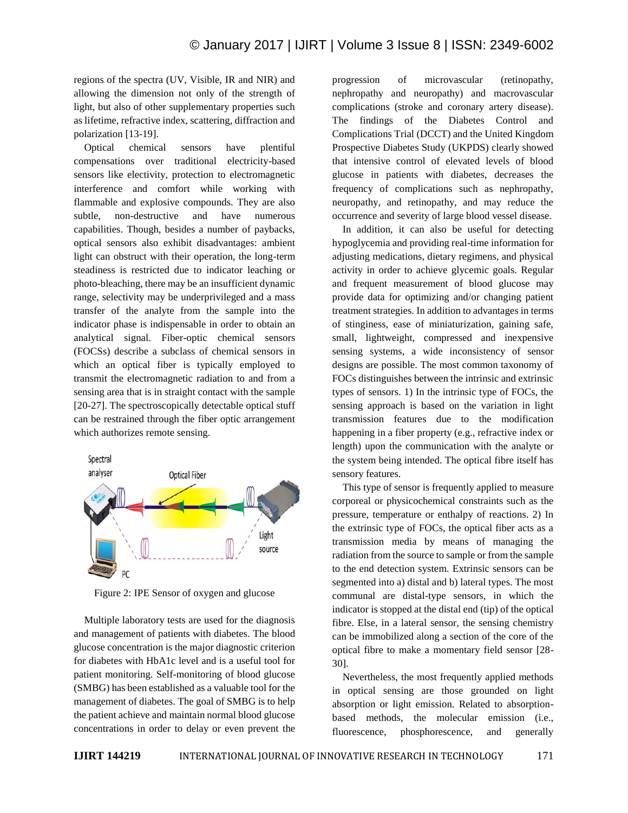regions of the spectra (UV, Visible, IR and NIR) and allowing the dimension not only of the strength of light, but also of other supplementary properties such as lifetime, refractive index, scattering, diffraction and polarization [13-19].

Optical chemical sensors have plentiful compensations over traditional electricity-based sensors like electivity, protection to electromagnetic interference and comfort while working with flammable and explosive compounds. They are also subtle, non-destructive and have numerous capabilities. Though, besides a number of paybacks, optical sensors also exhibit disadvantages: ambient light can obstruct with their operation, the long-term steadiness is restricted due to indicator leaching or photo-bleaching, there may be an insufficient dynamic range, selectivity may be underprivileged and a mass transfer of the analyte from the sample into the indicator phase is indispensable in order to obtain an analytical signal. Fiber-optic chemical sensors (FOCSs) describe a subclass of chemical sensors in which an optical fiber is typically employed to transmit the electromagnetic radiation to and from a sensing area that is in straight contact with the sample [20-27]. The spectroscopically detectable optical stuff can be restrained through the fiber optic arrangement which authorizes remote sensing.



Figure 2: IPE Sensor of oxygen and glucose

Multiple laboratory tests are used for the diagnosis and management of patients with diabetes. The blood glucose concentration is the major diagnostic criterion for diabetes with HbA1c level and is a useful tool for patient monitoring. Self-monitoring of blood glucose (SMBG) has been established as a valuable tool for the management of diabetes. The goal of SMBG is to help the patient achieve and maintain normal blood glucose concentrations in order to delay or even prevent the progression of microvascular (retinopathy, nephropathy and neuropathy) and macrovascular complications (stroke and coronary artery disease). The findings of the Diabetes Control and Complications Trial (DCCT) and the United Kingdom Prospective Diabetes Study (UKPDS) clearly showed that intensive control of elevated levels of blood glucose in patients with diabetes, decreases the frequency of complications such as nephropathy, neuropathy, and retinopathy, and may reduce the occurrence and severity of large blood vessel disease.

In addition, it can also be useful for detecting hypoglycemia and providing real-time information for adjusting medications, dietary regimens, and physical activity in order to achieve glycemic goals. Regular and frequent measurement of blood glucose may provide data for optimizing and/or changing patient treatment strategies. In addition to advantages in terms of stinginess, ease of miniaturization, gaining safe, small, lightweight, compressed and inexpensive sensing systems, a wide inconsistency of sensor designs are possible. The most common taxonomy of FOCs distinguishes between the intrinsic and extrinsic types of sensors. 1) In the intrinsic type of FOCs, the sensing approach is based on the variation in light transmission features due to the modification happening in a fiber property (e.g., refractive index or length) upon the communication with the analyte or the system being intended. The optical fibre itself has sensory features.

This type of sensor is frequently applied to measure corporeal or physicochemical constraints such as the pressure, temperature or enthalpy of reactions. 2) In the extrinsic type of FOCs, the optical fiber acts as a transmission media by means of managing the radiation from the source to sample or from the sample to the end detection system. Extrinsic sensors can be segmented into a) distal and b) lateral types. The most communal are distal-type sensors, in which the indicator is stopped at the distal end (tip) of the optical fibre. Else, in a lateral sensor, the sensing chemistry can be immobilized along a section of the core of the optical fibre to make a momentary field sensor [28- 30].

Nevertheless, the most frequently applied methods in optical sensing are those grounded on light absorption or light emission. Related to absorptionbased methods, the molecular emission (i.e., fluorescence, phosphorescence, and generally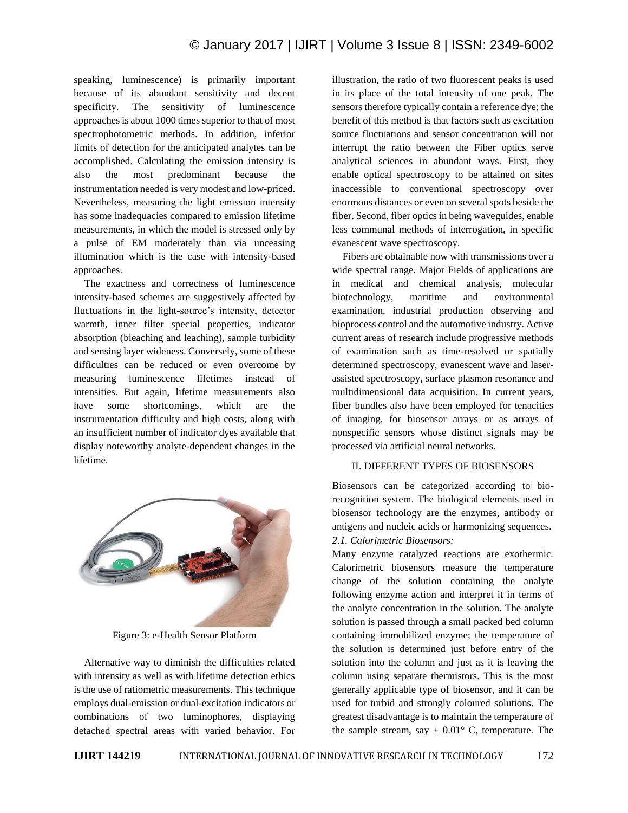speaking, luminescence) is primarily important because of its abundant sensitivity and decent specificity. The sensitivity of luminescence approaches is about 1000 times superior to that of most spectrophotometric methods. In addition, inferior limits of detection for the anticipated analytes can be accomplished. Calculating the emission intensity is also the most predominant because the instrumentation needed is very modest and low-priced. Nevertheless, measuring the light emission intensity has some inadequacies compared to emission lifetime measurements, in which the model is stressed only by a pulse of EM moderately than via unceasing illumination which is the case with intensity-based approaches.

The exactness and correctness of luminescence intensity-based schemes are suggestively affected by fluctuations in the light-source's intensity, detector warmth, inner filter special properties, indicator absorption (bleaching and leaching), sample turbidity and sensing layer wideness. Conversely, some of these difficulties can be reduced or even overcome by measuring luminescence lifetimes instead of intensities. But again, lifetime measurements also have some shortcomings, which are the instrumentation difficulty and high costs, along with an insufficient number of indicator dyes available that display noteworthy analyte-dependent changes in the lifetime.



Figure 3: e-Health Sensor Platform

Alternative way to diminish the difficulties related with intensity as well as with lifetime detection ethics is the use of ratiometric measurements. This technique employs dual-emission or dual-excitation indicators or combinations of two luminophores, displaying detached spectral areas with varied behavior. For illustration, the ratio of two fluorescent peaks is used in its place of the total intensity of one peak. The sensors therefore typically contain a reference dye; the benefit of this method is that factors such as excitation source fluctuations and sensor concentration will not interrupt the ratio between the Fiber optics serve analytical sciences in abundant ways. First, they enable optical spectroscopy to be attained on sites inaccessible to conventional spectroscopy over enormous distances or even on several spots beside the fiber. Second, fiber optics in being waveguides, enable less communal methods of interrogation, in specific evanescent wave spectroscopy.

Fibers are obtainable now with transmissions over a wide spectral range. Major Fields of applications are in medical and chemical analysis, molecular biotechnology, maritime and environmental examination, industrial production observing and bioprocess control and the automotive industry. Active current areas of research include progressive methods of examination such as time-resolved or spatially determined spectroscopy, evanescent wave and laserassisted spectroscopy, surface plasmon resonance and multidimensional data acquisition. In current years, fiber bundles also have been employed for tenacities of imaging, for biosensor arrays or as arrays of nonspecific sensors whose distinct signals may be processed via artificial neural networks.

#### II. DIFFERENT TYPES OF BIOSENSORS

Biosensors can be categorized according to biorecognition system. The biological elements used in biosensor technology are the enzymes, antibody or antigens and nucleic acids or harmonizing sequences. *2.1. Calorimetric Biosensors:* 

Many enzyme catalyzed reactions are exothermic. Calorimetric biosensors measure the temperature change of the solution containing the analyte following enzyme action and interpret it in terms of the analyte concentration in the solution. The analyte solution is passed through a small packed bed column containing immobilized enzyme; the temperature of the solution is determined just before entry of the solution into the column and just as it is leaving the column using separate thermistors. This is the most generally applicable type of biosensor, and it can be used for turbid and strongly coloured solutions. The greatest disadvantage is to maintain the temperature of the sample stream, say  $\pm 0.01^{\circ}$  C, temperature. The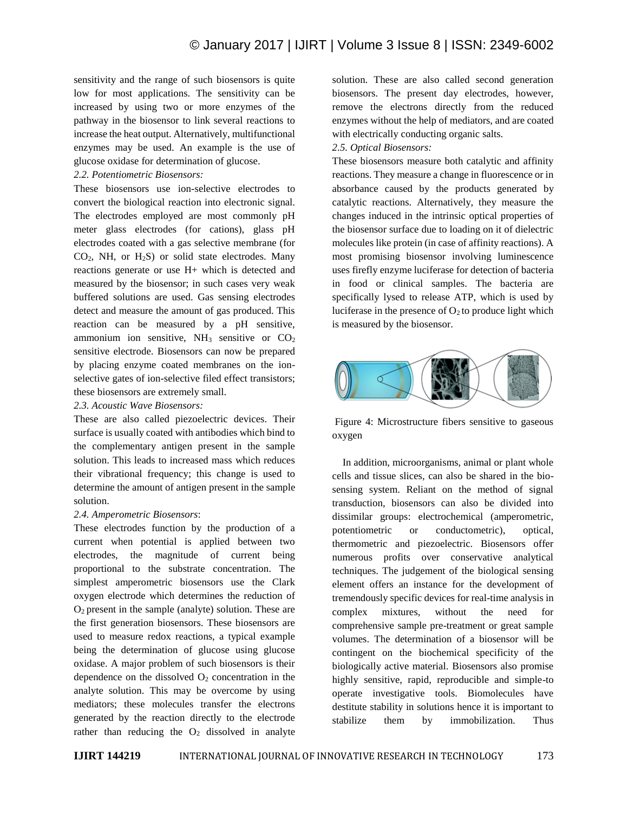sensitivity and the range of such biosensors is quite low for most applications. The sensitivity can be increased by using two or more enzymes of the pathway in the biosensor to link several reactions to increase the heat output. Alternatively, multifunctional enzymes may be used. An example is the use of glucose oxidase for determination of glucose.

#### *2.2. Potentiometric Biosensors:*

These biosensors use ion-selective electrodes to convert the biological reaction into electronic signal. The electrodes employed are most commonly pH meter glass electrodes (for cations), glass pH electrodes coated with a gas selective membrane (for CO2, NH, or H2S) or solid state electrodes. Many reactions generate or use H+ which is detected and measured by the biosensor; in such cases very weak buffered solutions are used. Gas sensing electrodes detect and measure the amount of gas produced. This reaction can be measured by a pH sensitive, ammonium ion sensitive,  $NH<sub>3</sub>$  sensitive or  $CO<sub>2</sub>$ sensitive electrode. Biosensors can now be prepared by placing enzyme coated membranes on the ionselective gates of ion-selective filed effect transistors; these biosensors are extremely small.

*2.3. Acoustic Wave Biosensors:*

These are also called piezoelectric devices. Their surface is usually coated with antibodies which bind to the complementary antigen present in the sample solution. This leads to increased mass which reduces their vibrational frequency; this change is used to determine the amount of antigen present in the sample solution.

## *2.4. Amperometric Biosensors*:

These electrodes function by the production of a current when potential is applied between two electrodes, the magnitude of current being proportional to the substrate concentration. The simplest amperometric biosensors use the Clark oxygen electrode which determines the reduction of O2 present in the sample (analyte) solution. These are the first generation biosensors. These biosensors are used to measure redox reactions, a typical example being the determination of glucose using glucose oxidase. A major problem of such biosensors is their dependence on the dissolved  $O_2$  concentration in the analyte solution. This may be overcome by using mediators; these molecules transfer the electrons generated by the reaction directly to the electrode rather than reducing the  $O_2$  dissolved in analyte

solution. These are also called second generation biosensors. The present day electrodes, however, remove the electrons directly from the reduced enzymes without the help of mediators, and are coated with electrically conducting organic salts.

# *2.5. Optical Biosensors:*

These biosensors measure both catalytic and affinity reactions. They measure a change in fluorescence or in absorbance caused by the products generated by catalytic reactions. Alternatively, they measure the changes induced in the intrinsic optical properties of the biosensor surface due to loading on it of dielectric molecules like protein (in case of affinity reactions). A most promising biosensor involving luminescence uses firefly enzyme luciferase for detection of bacteria in food or clinical samples. The bacteria are specifically lysed to release ATP, which is used by luciferase in the presence of  $O_2$  to produce light which is measured by the biosensor.



Figure 4: Microstructure fibers sensitive to gaseous oxygen

In addition, microorganisms, animal or plant whole cells and tissue slices, can also be shared in the biosensing system. Reliant on the method of signal transduction, biosensors can also be divided into dissimilar groups: electrochemical (amperometric, potentiometric or conductometric), optical, thermometric and piezoelectric. Biosensors offer numerous profits over conservative analytical techniques. The judgement of the biological sensing element offers an instance for the development of tremendously specific devices for real-time analysis in complex mixtures, without the need for comprehensive sample pre-treatment or great sample volumes. The determination of a biosensor will be contingent on the biochemical specificity of the biologically active material. Biosensors also promise highly sensitive, rapid, reproducible and simple-to operate investigative tools. Biomolecules have destitute stability in solutions hence it is important to stabilize them by immobilization. Thus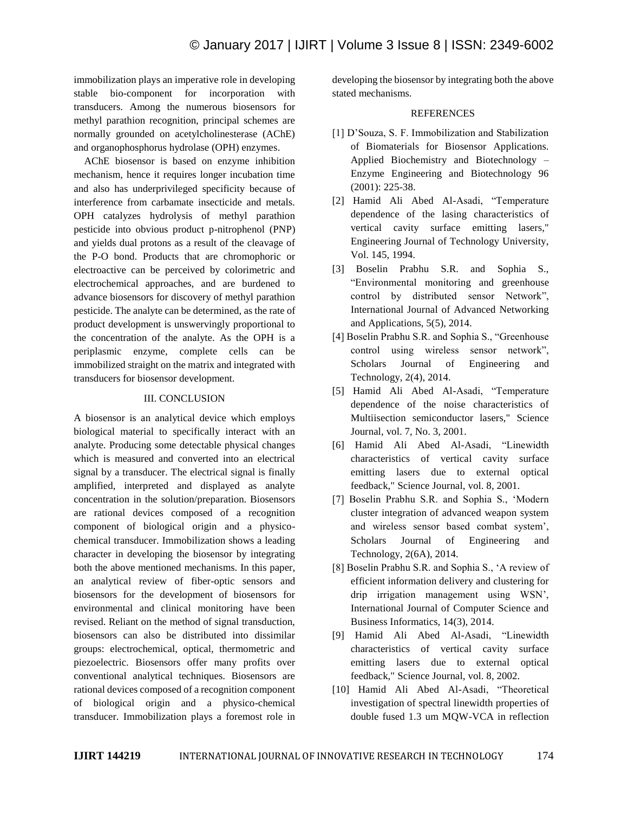immobilization plays an imperative role in developing stable bio-component for incorporation with transducers. Among the numerous biosensors for methyl parathion recognition, principal schemes are normally grounded on acetylcholinesterase (AChE) and organophosphorus hydrolase (OPH) enzymes.

AChE biosensor is based on enzyme inhibition mechanism, hence it requires longer incubation time and also has underprivileged specificity because of interference from carbamate insecticide and metals. OPH catalyzes hydrolysis of methyl parathion pesticide into obvious product p-nitrophenol (PNP) and yields dual protons as a result of the cleavage of the P-O bond. Products that are chromophoric or electroactive can be perceived by colorimetric and electrochemical approaches, and are burdened to advance biosensors for discovery of methyl parathion pesticide. The analyte can be determined, as the rate of product development is unswervingly proportional to the concentration of the analyte. As the OPH is a periplasmic enzyme, complete cells can be immobilized straight on the matrix and integrated with transducers for biosensor development.

## III. CONCLUSION

A biosensor is an analytical device which employs biological material to specifically interact with an analyte. Producing some detectable physical changes which is measured and converted into an electrical signal by a transducer. The electrical signal is finally amplified, interpreted and displayed as analyte concentration in the solution/preparation. Biosensors are rational devices composed of a recognition component of biological origin and a physicochemical transducer. Immobilization shows a leading character in developing the biosensor by integrating both the above mentioned mechanisms. In this paper, an analytical review of fiber-optic sensors and biosensors for the development of biosensors for environmental and clinical monitoring have been revised. Reliant on the method of signal transduction, biosensors can also be distributed into dissimilar groups: electrochemical, optical, thermometric and piezoelectric. Biosensors offer many profits over conventional analytical techniques. Biosensors are rational devices composed of a recognition component of biological origin and a physico-chemical transducer. Immobilization plays a foremost role in developing the biosensor by integrating both the above stated mechanisms.

#### **REFERENCES**

- [1] D'Souza, S. F. Immobilization and Stabilization of Biomaterials for Biosensor Applications. Applied Biochemistry and Biotechnology – Enzyme Engineering and Biotechnology 96 (2001): 225-38.
- [2] Hamid Ali Abed Al-Asadi, "Temperature dependence of the lasing characteristics of vertical cavity surface emitting lasers," Engineering Journal of Technology University, Vol. 145, 1994.
- [3] Boselin Prabhu S.R. and Sophia S., "Environmental monitoring and greenhouse control by distributed sensor Network", International Journal of Advanced Networking and Applications, 5(5), 2014.
- [4] Boselin Prabhu S.R. and Sophia S., "Greenhouse control using wireless sensor network", Scholars Journal of Engineering and Technology, 2(4), 2014.
- [5] Hamid Ali Abed Al-Asadi, "Temperature dependence of the noise characteristics of Multiisection semiconductor lasers," Science Journal, vol. 7, No. 3, 2001.
- [6] Hamid Ali Abed Al-Asadi, "Linewidth characteristics of vertical cavity surface emitting lasers due to external optical feedback," Science Journal, vol. 8, 2001.
- [7] Boselin Prabhu S.R. and Sophia S., 'Modern cluster integration of advanced weapon system and wireless sensor based combat system', Scholars Journal of Engineering and Technology, 2(6A), 2014.
- [8] Boselin Prabhu S.R. and Sophia S., 'A review of efficient information delivery and clustering for drip irrigation management using WSN', International Journal of Computer Science and Business Informatics, 14(3), 2014.
- [9] Hamid Ali Abed Al-Asadi, "Linewidth characteristics of vertical cavity surface emitting lasers due to external optical feedback," Science Journal, vol. 8, 2002.
- [10] Hamid Ali Abed Al-Asadi, "Theoretical investigation of spectral linewidth properties of double fused 1.3 um MQW-VCA in reflection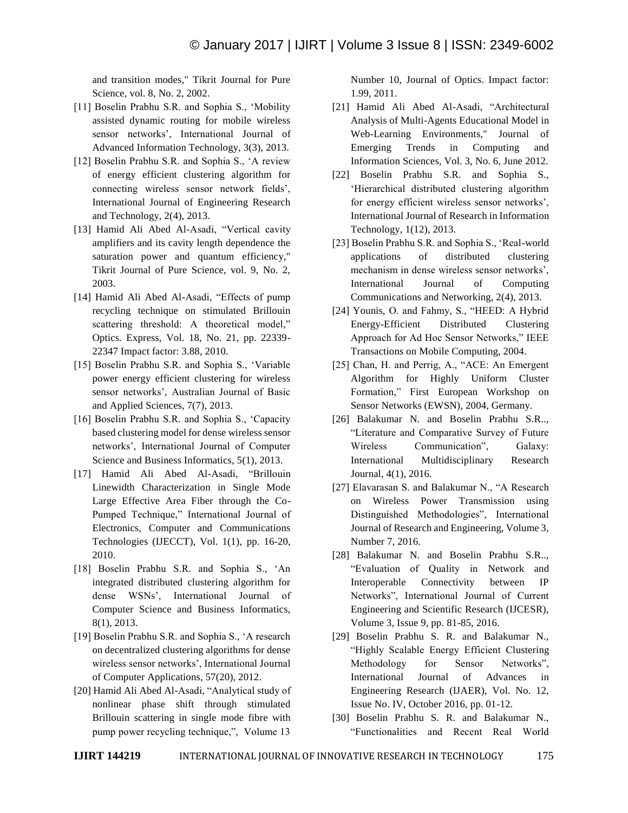and transition modes," Tikrit Journal for Pure Science, vol. 8, No. 2, 2002.

- [11] Boselin Prabhu S.R. and Sophia S., 'Mobility assisted dynamic routing for mobile wireless sensor networks', International Journal of Advanced Information Technology, 3(3), 2013.
- [12] Boselin Prabhu S.R. and Sophia S., 'A review of energy efficient clustering algorithm for connecting wireless sensor network fields', International Journal of Engineering Research and Technology, 2(4), 2013.
- [13] Hamid Ali Abed Al-Asadi, "Vertical cavity amplifiers and its cavity length dependence the saturation power and quantum efficiency," Tikrit Journal of Pure Science, vol. 9, No. 2, 2003.
- [14] Hamid Ali Abed Al-Asadi, "Effects of pump recycling technique on stimulated Brillouin scattering threshold: A theoretical model," Optics. Express, Vol. 18, No. 21, pp. 22339- 22347 Impact factor: 3.88, 2010.
- [15] Boselin Prabhu S.R. and Sophia S., 'Variable power energy efficient clustering for wireless sensor networks', Australian Journal of Basic and Applied Sciences, 7(7), 2013.
- [16] Boselin Prabhu S.R. and Sophia S., 'Capacity based clustering model for dense wireless sensor networks', International Journal of Computer Science and Business Informatics, 5(1), 2013.
- [17] Hamid Ali Abed Al-Asadi, "Brillouin Linewidth Characterization in Single Mode Large Effective Area Fiber through the Co-Pumped Technique," International Journal of Electronics, Computer and Communications Technologies (IJECCT), Vol. 1(1), pp. 16-20, 2010.
- [18] Boselin Prabhu S.R. and Sophia S., 'An integrated distributed clustering algorithm for dense WSNs', International Journal of Computer Science and Business Informatics, 8(1), 2013.
- [19] Boselin Prabhu S.R. and Sophia S., 'A research on decentralized clustering algorithms for dense wireless sensor networks', International Journal of Computer Applications, 57(20), 2012.
- [20] Hamid Ali Abed Al-Asadi, "Analytical study of nonlinear phase shift through stimulated Brillouin scattering in single mode fibre with pump power recycling technique,", Volume 13

Number 10, Journal of Optics. Impact factor: 1.99, 2011.

- [21] Hamid Ali Abed Al-Asadi, "Architectural Analysis of Multi-Agents Educational Model in Web-Learning Environments," Journal of Emerging Trends in Computing and Information Sciences, Vol. 3, No. 6, June 2012.
- [22] Boselin Prabhu S.R. and Sophia S., 'Hierarchical distributed clustering algorithm for energy efficient wireless sensor networks', International Journal of Research in Information Technology, 1(12), 2013.
- [23] Boselin Prabhu S.R. and Sophia S., 'Real-world applications of distributed clustering mechanism in dense wireless sensor networks', International Journal of Computing Communications and Networking, 2(4), 2013.
- [24] Younis, O. and Fahmy, S., "HEED: A Hybrid Energy-Efficient Distributed Clustering Approach for Ad Hoc Sensor Networks," IEEE Transactions on Mobile Computing, 2004.
- [25] Chan, H. and Perrig, A., "ACE: An Emergent Algorithm for Highly Uniform Cluster Formation," First European Workshop on Sensor Networks (EWSN), 2004, Germany.
- [26] Balakumar N. and Boselin Prabhu S.R.., "Literature and Comparative Survey of Future Wireless Communication", Galaxy: International Multidisciplinary Research Journal, 4(1), 2016.
- [27] Elavarasan S. and Balakumar N., "A Research on Wireless Power Transmission using Distinguished Methodologies", International Journal of Research and Engineering, Volume 3, Number 7, 2016.
- [28] Balakumar N. and Boselin Prabhu S.R.., "Evaluation of Quality in Network and Interoperable Connectivity between IP Networks", International Journal of Current Engineering and Scientific Research (IJCESR), Volume 3, Issue 9, pp. 81-85, 2016.
- [29] Boselin Prabhu S. R. and Balakumar N., "Highly Scalable Energy Efficient Clustering Methodology for Sensor Networks", International Journal of Advances in Engineering Research (IJAER), Vol. No. 12, Issue No. IV, October 2016, pp. 01-12.
- [30] Boselin Prabhu S. R. and Balakumar N., "Functionalities and Recent Real World